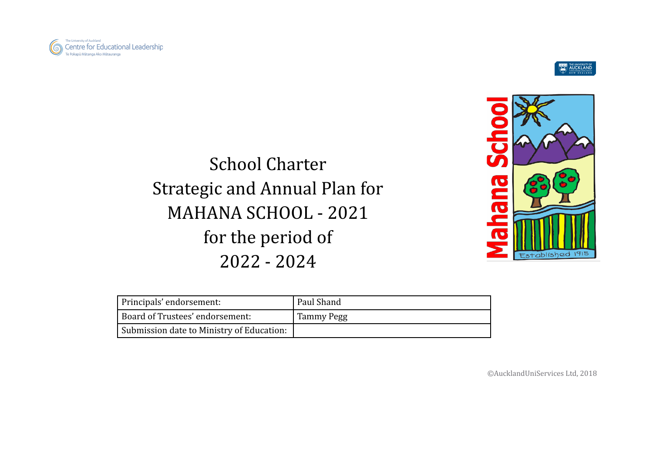



# School Charter Strategic and Annual Plan for MAHANA SCHOOL - 2021 for the period of 2022 - 2024



| Principals' endorsement:                  | Paul Shand |
|-------------------------------------------|------------|
| Board of Trustees' endorsement:           | Tammy Pegg |
| Submission date to Ministry of Education: |            |

©AucklandUniServices Ltd, 2018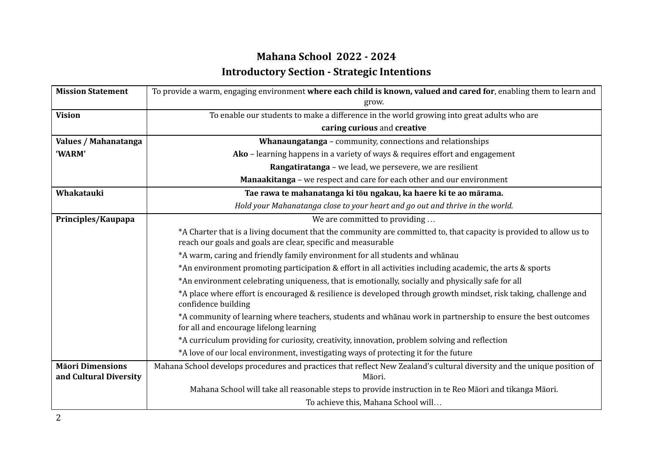## **Mahana School 2022 - 2024 Introductory Section - Strategic Intentions**

| <b>Mission Statement</b> | To provide a warm, engaging environment where each child is known, valued and cared for, enabling them to learn and                                                                |
|--------------------------|------------------------------------------------------------------------------------------------------------------------------------------------------------------------------------|
|                          | grow.                                                                                                                                                                              |
| <b>Vision</b>            | To enable our students to make a difference in the world growing into great adults who are                                                                                         |
|                          | caring curious and creative                                                                                                                                                        |
| Values / Mahanatanga     | Whanaungatanga - community, connections and relationships                                                                                                                          |
| 'WARM'                   | Ako - learning happens in a variety of ways & requires effort and engagement                                                                                                       |
|                          | Rangatiratanga - we lead, we persevere, we are resilient                                                                                                                           |
|                          | Manaakitanga - we respect and care for each other and our environment                                                                                                              |
| Whakatauki               | Tae rawa te mahanatanga ki tōu ngakau, ka haere ki te ao mārama.                                                                                                                   |
|                          | Hold your Mahanatanga close to your heart and go out and thrive in the world.                                                                                                      |
| Principles/Kaupapa       | We are committed to providing                                                                                                                                                      |
|                          | *A Charter that is a living document that the community are committed to, that capacity is provided to allow us to<br>reach our goals and goals are clear, specific and measurable |
|                          | *A warm, caring and friendly family environment for all students and whānau                                                                                                        |
|                          | *An environment promoting participation & effort in all activities including academic, the arts & sports                                                                           |
|                          | *An environment celebrating uniqueness, that is emotionally, socially and physically safe for all                                                                                  |
|                          | *A place where effort is encouraged & resilience is developed through growth mindset, risk taking, challenge and<br>confidence building                                            |
|                          | *A community of learning where teachers, students and whanau work in partnership to ensure the best outcomes<br>for all and encourage lifelong learning                            |
|                          | *A curriculum providing for curiosity, creativity, innovation, problem solving and reflection                                                                                      |
|                          | *A love of our local environment, investigating ways of protecting it for the future                                                                                               |
| <b>Māori Dimensions</b>  | Mahana School develops procedures and practices that reflect New Zealand's cultural diversity and the unique position of                                                           |
| and Cultural Diversity   | Māori.                                                                                                                                                                             |
|                          | Mahana School will take all reasonable steps to provide instruction in te Reo Māori and tikanga Māori.                                                                             |
|                          | To achieve this, Mahana School will                                                                                                                                                |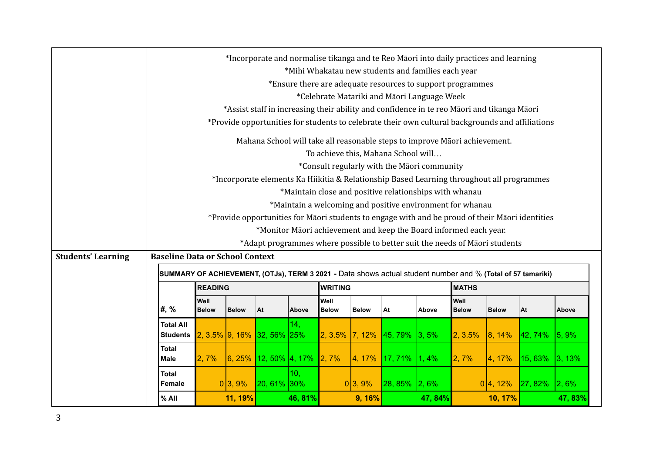|                           |                                                                                                                                                                              | *Incorporate and normalise tikanga and te Reo Māori into daily practices and learning |                                                                                           |                                                                                                  |                |         |                      |                   |             |                                                                                                             |                      |              |         |           |
|---------------------------|------------------------------------------------------------------------------------------------------------------------------------------------------------------------------|---------------------------------------------------------------------------------------|-------------------------------------------------------------------------------------------|--------------------------------------------------------------------------------------------------|----------------|---------|----------------------|-------------------|-------------|-------------------------------------------------------------------------------------------------------------|----------------------|--------------|---------|-----------|
|                           |                                                                                                                                                                              |                                                                                       |                                                                                           |                                                                                                  |                |         |                      |                   |             | *Mihi Whakatau new students and families each year                                                          |                      |              |         |           |
|                           |                                                                                                                                                                              |                                                                                       |                                                                                           |                                                                                                  |                |         |                      |                   |             | *Ensure there are adequate resources to support programmes                                                  |                      |              |         |           |
|                           |                                                                                                                                                                              |                                                                                       |                                                                                           | *Celebrate Matariki and Māori Language Week                                                      |                |         |                      |                   |             |                                                                                                             |                      |              |         |           |
|                           |                                                                                                                                                                              |                                                                                       |                                                                                           | *Assist staff in increasing their ability and confidence in te reo Māori and tikanga Māori       |                |         |                      |                   |             |                                                                                                             |                      |              |         |           |
|                           |                                                                                                                                                                              |                                                                                       |                                                                                           | *Provide opportunities for students to celebrate their own cultural backgrounds and affiliations |                |         |                      |                   |             |                                                                                                             |                      |              |         |           |
|                           |                                                                                                                                                                              |                                                                                       |                                                                                           | Mahana School will take all reasonable steps to improve Māori achievement.                       |                |         |                      |                   |             |                                                                                                             |                      |              |         |           |
|                           |                                                                                                                                                                              |                                                                                       |                                                                                           | To achieve this, Mahana School will                                                              |                |         |                      |                   |             |                                                                                                             |                      |              |         |           |
|                           |                                                                                                                                                                              |                                                                                       |                                                                                           | *Consult regularly with the Māori community                                                      |                |         |                      |                   |             |                                                                                                             |                      |              |         |           |
|                           |                                                                                                                                                                              |                                                                                       | *Incorporate elements Ka Hiikitia & Relationship Based Learning throughout all programmes |                                                                                                  |                |         |                      |                   |             |                                                                                                             |                      |              |         |           |
|                           |                                                                                                                                                                              |                                                                                       |                                                                                           |                                                                                                  |                |         |                      |                   |             | *Maintain close and positive relationships with whanau                                                      |                      |              |         |           |
|                           |                                                                                                                                                                              |                                                                                       |                                                                                           |                                                                                                  |                |         |                      |                   |             | *Maintain a welcoming and positive environment for whanau                                                   |                      |              |         |           |
|                           |                                                                                                                                                                              |                                                                                       |                                                                                           |                                                                                                  |                |         |                      |                   |             | *Provide opportunities for Māori students to engage with and be proud of their Māori identities             |                      |              |         |           |
|                           |                                                                                                                                                                              |                                                                                       |                                                                                           |                                                                                                  |                |         |                      |                   |             | *Monitor Māori achievement and keep the Board informed each year.                                           |                      |              |         |           |
|                           |                                                                                                                                                                              |                                                                                       |                                                                                           |                                                                                                  |                |         |                      |                   |             | *Adapt programmes where possible to better suit the needs of Māori students                                 |                      |              |         |           |
| <b>Students' Learning</b> | <b>Baseline Data or School Context</b>                                                                                                                                       |                                                                                       |                                                                                           |                                                                                                  |                |         |                      |                   |             |                                                                                                             |                      |              |         |           |
|                           |                                                                                                                                                                              |                                                                                       |                                                                                           |                                                                                                  |                |         |                      |                   |             | SUMMARY OF ACHIEVEMENT, (OTJs), TERM 3 2021 - Data shows actual student number and % (Total of 57 tamariki) |                      |              |         |           |
|                           |                                                                                                                                                                              |                                                                                       | <b>READING</b>                                                                            |                                                                                                  |                |         | <b>WRITING</b>       |                   |             |                                                                                                             | <b>MATHS</b>         |              |         |           |
|                           | #, %                                                                                                                                                                         |                                                                                       | Well<br><b>Below</b>                                                                      | <b>Below</b>                                                                                     | At             | Above   | Well<br><b>Below</b> | <b>Below</b>      | At          | Above                                                                                                       | Well<br><b>Below</b> | <b>Below</b> | At      | Above     |
|                           |                                                                                                                                                                              |                                                                                       |                                                                                           |                                                                                                  |                |         |                      |                   |             |                                                                                                             |                      |              |         |           |
|                           | 14,<br><b>Total All</b><br>$2, 3.5\%$ 9, 16%<br>$32,56\%$ 25%<br>2, 3.5%<br>7, 12%<br> 3, 5%<br>2, 3.5%<br>145,79%<br>$ 8, 14\%$<br>42, 74%<br>$ 5, 9\% $<br><b>Students</b> |                                                                                       |                                                                                           |                                                                                                  |                |         |                      |                   |             |                                                                                                             |                      |              |         |           |
|                           | <b>Total</b>                                                                                                                                                                 |                                                                                       |                                                                                           |                                                                                                  |                |         |                      |                   |             |                                                                                                             |                      |              |         |           |
|                           | <b>Male</b>                                                                                                                                                                  |                                                                                       | 2,7%                                                                                      | 6, 25%                                                                                           | 12, 50% 4, 17% |         | 2,7%                 | 4, 17%            | 17,71%      | 1,4%                                                                                                        | 2,7%                 | 4, 17%       | 15,63%  | 3, 13%    |
|                           | <b>Total</b>                                                                                                                                                                 |                                                                                       |                                                                                           |                                                                                                  |                | 10,     |                      |                   |             |                                                                                                             |                      |              |         |           |
|                           | Female                                                                                                                                                                       |                                                                                       |                                                                                           | 0 3,9%                                                                                           | 20, 61% 30%    |         |                      | 0 3,9%            | $ 28, 85\%$ | $ 2, 6\%$                                                                                                   |                      | 0 4, 12%     | 27, 82% | $ 2, 6\%$ |
|                           | % All                                                                                                                                                                        |                                                                                       |                                                                                           | 11, 19%                                                                                          |                | 46, 81% |                      | 9, 16%<br>47, 84% |             | 10, 17%                                                                                                     |                      | 47, 83%      |         |           |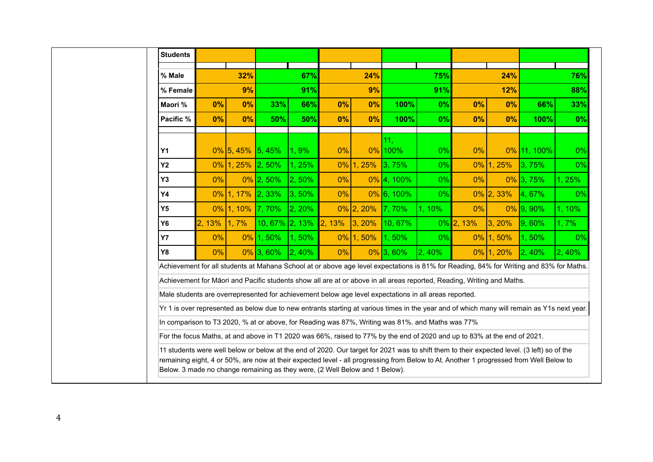| <b>Students</b> |        |                     |                                                                             |            |        |              |                                                                                                       |            |                                                                                                                          |              |                                                                                                                                                                                                                                                                                      |            |
|-----------------|--------|---------------------|-----------------------------------------------------------------------------|------------|--------|--------------|-------------------------------------------------------------------------------------------------------|------------|--------------------------------------------------------------------------------------------------------------------------|--------------|--------------------------------------------------------------------------------------------------------------------------------------------------------------------------------------------------------------------------------------------------------------------------------------|------------|
| % Male          |        | 32%                 |                                                                             | 67%        |        | 24%          |                                                                                                       | 75%        |                                                                                                                          | 24%          |                                                                                                                                                                                                                                                                                      | 76%        |
|                 |        |                     |                                                                             |            |        |              |                                                                                                       |            |                                                                                                                          |              |                                                                                                                                                                                                                                                                                      |            |
| % Female        |        | 9%                  |                                                                             | 91%        |        | 9%           |                                                                                                       | 91%        |                                                                                                                          | 12%          |                                                                                                                                                                                                                                                                                      | 88%        |
| Maori %         | 0%     | 0%                  | 33%                                                                         | 66%        | 0%     | 0%           | 100%                                                                                                  | 0%         | 0%                                                                                                                       | 0%           | 66%                                                                                                                                                                                                                                                                                  | 33%        |
| Pacific %       | 0%     | 0%                  | 50%                                                                         | 50%        | 0%     | 0%           | 100%                                                                                                  | 0%         | 0%                                                                                                                       | 0%           | 100%                                                                                                                                                                                                                                                                                 | 0%         |
|                 |        |                     |                                                                             |            |        |              | 11 <sub>1</sub>                                                                                       |            |                                                                                                                          |              |                                                                                                                                                                                                                                                                                      |            |
| <b>Y1</b>       |        | $0\%$ 5, 45% 5, 45% |                                                                             | $ 1, 9\%$  | 0%     |              | $0\%$ 100%                                                                                            | 0%         | 0%                                                                                                                       |              | 0% 11, 100%                                                                                                                                                                                                                                                                          | 0%         |
| Y <sub>2</sub>  |        | $0\%$ 1, 25% 2, 50% |                                                                             | 1, 25%     |        | $0\%$ 1, 25% | 3,75%                                                                                                 | 0%         |                                                                                                                          | $0\%$ 1, 25% | 3,75%                                                                                                                                                                                                                                                                                | 0%         |
| <b>Y3</b>       | $0\%$  |                     | $0\%$ 2, 50%                                                                | $ 2, 50\%$ | 0%     |              | $0\%$ 4, 100%                                                                                         | $0\%$      | $0\%$                                                                                                                    |              | $0\%$ 3, 75%                                                                                                                                                                                                                                                                         | 1, 25%     |
| <b>Y4</b>       |        | $0\%$ 1, 17% 2, 33% |                                                                             | 3, 50%     | $0\%$  |              | $0\%$ 6, 100%                                                                                         | 0%         |                                                                                                                          | $0\%$ 2, 33% | 4,67%                                                                                                                                                                                                                                                                                | 0%         |
| Y <sub>5</sub>  |        | $0\%$ 1, 10%        | 17,70%                                                                      | 2, 20%     |        | $0\%$ 2, 20% | 7,70%                                                                                                 | 1, 10%     | $0\%$                                                                                                                    |              | $0\%$ 9, 90%                                                                                                                                                                                                                                                                         | $1, 10\%$  |
| <b>Y6</b>       | 2, 13% | 1,7%                | $10,67\%$ 2, 13%                                                            |            | 2, 13% | 3, 20%       | 10, 67%                                                                                               |            | $0\%$ 2, 13%                                                                                                             | 3, 20%       | $ 9,60\%$                                                                                                                                                                                                                                                                            | 1,7%       |
| <b>Y7</b>       | 0%     |                     | 0% 1, 50%                                                                   | 1,50%      |        | $0\%$ 1, 50% | 1,50%                                                                                                 | 0%         |                                                                                                                          | $0\%$ 1, 50% | 1,50%                                                                                                                                                                                                                                                                                | 0%         |
| <b>Y8</b>       | $0\%$  |                     | $0\%$ 3, 60%                                                                | 2, 40%     | 0%     |              | $0\%$ 3, 60%                                                                                          | $ 2, 40\%$ |                                                                                                                          | $0\%$ 1, 20% | $ 2, 40\%$                                                                                                                                                                                                                                                                           | $ 2, 40\%$ |
|                 |        |                     |                                                                             |            |        |              |                                                                                                       |            |                                                                                                                          |              | Achievement for all students at Mahana School at or above age level expectations is 81% for Reading, 84% for Writing and 83% for Maths.                                                                                                                                              |            |
|                 |        |                     |                                                                             |            |        |              |                                                                                                       |            | Achievement for Māori and Pacific students show all are at or above in all areas reported, Reading, Writing and Maths.   |              |                                                                                                                                                                                                                                                                                      |            |
|                 |        |                     |                                                                             |            |        |              | Male students are overrepresented for achievement below age level expectations in all areas reported. |            |                                                                                                                          |              |                                                                                                                                                                                                                                                                                      |            |
|                 |        |                     |                                                                             |            |        |              |                                                                                                       |            |                                                                                                                          |              | Yr 1 is over represented as below due to new entrants starting at various times in the year and of which many will remain as Y1s next year.                                                                                                                                          |            |
|                 |        |                     |                                                                             |            |        |              | In comparison to T3 2020, % at or above, for Reading was 87%, Writing was 81%. and Maths was 77%      |            |                                                                                                                          |              |                                                                                                                                                                                                                                                                                      |            |
|                 |        |                     |                                                                             |            |        |              |                                                                                                       |            | For the focus Maths, at and above in T1 2020 was 66%, raised to 77% by the end of 2020 and up to 83% at the end of 2021. |              |                                                                                                                                                                                                                                                                                      |            |
|                 |        |                     | Below. 3 made no change remaining as they were, (2 Well Below and 1 Below). |            |        |              |                                                                                                       |            |                                                                                                                          |              | 11 students were well below or below at the end of 2020. Our target for 2021 was to shift them to their expected level. (3 left) so of the<br>remaining eight, 4 or 50%, are now at their expected level - all progressing from Below to At. Another 1 progressed from Well Below to |            |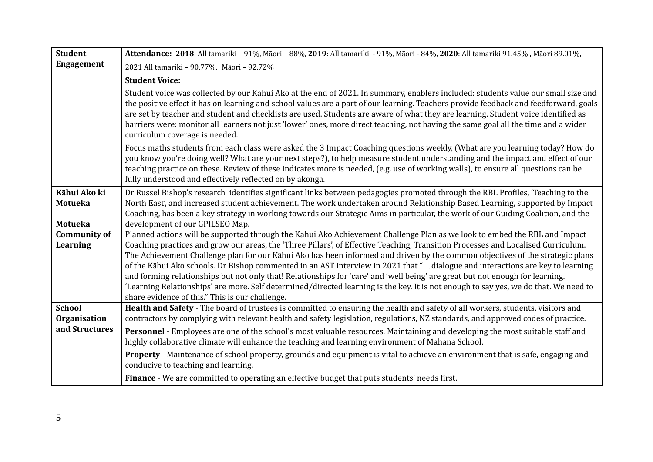| <b>Student</b>                            | Attendance: 2018: All tamariki - 91%, Māori - 88%, 2019: All tamariki - 91%, Māori - 84%, 2020: All tamariki 91.45%, Māori 89.01%,                                                                                                                                                                                                                                                                                                                                                                                                                                                                                                                                                                                                                                                                                                                           |
|-------------------------------------------|--------------------------------------------------------------------------------------------------------------------------------------------------------------------------------------------------------------------------------------------------------------------------------------------------------------------------------------------------------------------------------------------------------------------------------------------------------------------------------------------------------------------------------------------------------------------------------------------------------------------------------------------------------------------------------------------------------------------------------------------------------------------------------------------------------------------------------------------------------------|
| <b>Engagement</b>                         | 2021 All tamariki - 90.77%, Māori - 92.72%                                                                                                                                                                                                                                                                                                                                                                                                                                                                                                                                                                                                                                                                                                                                                                                                                   |
|                                           | <b>Student Voice:</b>                                                                                                                                                                                                                                                                                                                                                                                                                                                                                                                                                                                                                                                                                                                                                                                                                                        |
|                                           | Student voice was collected by our Kahui Ako at the end of 2021. In summary, enablers included: students value our small size and<br>the positive effect it has on learning and school values are a part of our learning. Teachers provide feedback and feedforward, goals<br>are set by teacher and student and checklists are used. Students are aware of what they are learning. Student voice identified as<br>barriers were: monitor all learners not just 'lower' ones, more direct teaching, not having the same goal all the time and a wider<br>curriculum coverage is needed.                                                                                                                                                                                                                                                                      |
|                                           | Focus maths students from each class were asked the 3 Impact Coaching questions weekly, (What are you learning today? How do<br>you know you're doing well? What are your next steps?), to help measure student understanding and the impact and effect of our<br>teaching practice on these. Review of these indicates more is needed, (e.g. use of working walls), to ensure all questions can be<br>fully understood and effectively reflected on by akonga.                                                                                                                                                                                                                                                                                                                                                                                              |
| Kāhui Ako ki<br><b>Motueka</b><br>Motueka | Dr Russel Bishop's research identifies significant links between pedagogies promoted through the RBL Profiles, 'Teaching to the<br>North East', and increased student achievement. The work undertaken around Relationship Based Learning, supported by Impact<br>Coaching, has been a key strategy in working towards our Strategic Aims in particular, the work of our Guiding Coalition, and the<br>development of our GPILSEO Map.                                                                                                                                                                                                                                                                                                                                                                                                                       |
| <b>Community of</b><br>Learning           | Planned actions will be supported through the Kahui Ako Achievement Challenge Plan as we look to embed the RBL and Impact<br>Coaching practices and grow our areas, the 'Three Pillars', of Effective Teaching, Transition Processes and Localised Curriculum.<br>The Achievement Challenge plan for our Kāhui Ako has been informed and driven by the common objectives of the strategic plans<br>of the Kāhui Ako schools. Dr Bishop commented in an AST interview in 2021 that "dialogue and interactions are key to learning<br>and forming relationships but not only that! Relationships for 'care' and 'well being' are great but not enough for learning.<br>'Learning Relationships' are more. Self determined/directed learning is the key. It is not enough to say yes, we do that. We need to<br>share evidence of this." This is our challenge. |
| <b>School</b><br>Organisation             | Health and Safety - The board of trustees is committed to ensuring the health and safety of all workers, students, visitors and<br>contractors by complying with relevant health and safety legislation, regulations, NZ standards, and approved codes of practice.                                                                                                                                                                                                                                                                                                                                                                                                                                                                                                                                                                                          |
| and Structures                            | Personnel - Employees are one of the school's most valuable resources. Maintaining and developing the most suitable staff and<br>highly collaborative climate will enhance the teaching and learning environment of Mahana School.                                                                                                                                                                                                                                                                                                                                                                                                                                                                                                                                                                                                                           |
|                                           | <b>Property</b> - Maintenance of school property, grounds and equipment is vital to achieve an environment that is safe, engaging and<br>conducive to teaching and learning.                                                                                                                                                                                                                                                                                                                                                                                                                                                                                                                                                                                                                                                                                 |
|                                           | Finance - We are committed to operating an effective budget that puts students' needs first.                                                                                                                                                                                                                                                                                                                                                                                                                                                                                                                                                                                                                                                                                                                                                                 |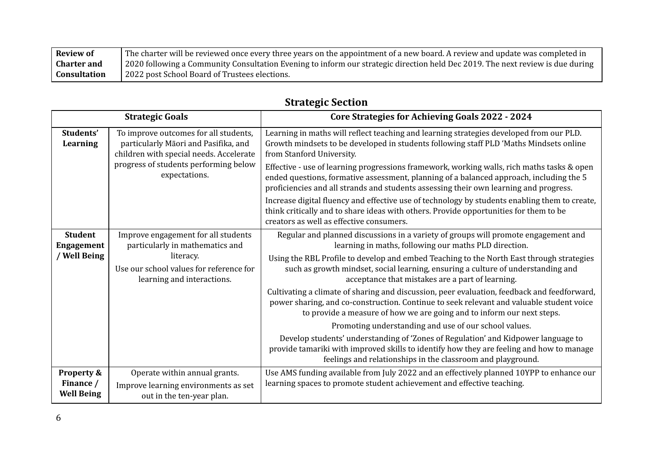| <b>Review of</b>   | The charter will be reviewed once every three years on the appointment of a new board. A review and update was completed in    |
|--------------------|--------------------------------------------------------------------------------------------------------------------------------|
| <b>Charter and</b> | 2020 following a Community Consultation Evening to inform our strategic direction held Dec 2019. The next review is due during |
| Consultation       | 2022 post School Board of Trustees elections.                                                                                  |

|                                                     | <b>Strategic Goals</b>                                                                                                                                                             | <b>Core Strategies for Achieving Goals 2022 - 2024</b>                                                                                                                                                                                                                                                                                                                                                                                                                                                                                                                                                                                                                                                                                                                                                                                                                                                                                                        |
|-----------------------------------------------------|------------------------------------------------------------------------------------------------------------------------------------------------------------------------------------|---------------------------------------------------------------------------------------------------------------------------------------------------------------------------------------------------------------------------------------------------------------------------------------------------------------------------------------------------------------------------------------------------------------------------------------------------------------------------------------------------------------------------------------------------------------------------------------------------------------------------------------------------------------------------------------------------------------------------------------------------------------------------------------------------------------------------------------------------------------------------------------------------------------------------------------------------------------|
| Students'<br>Learning                               | To improve outcomes for all students,<br>particularly Māori and Pasifika, and<br>children with special needs. Accelerate<br>progress of students performing below<br>expectations. | Learning in maths will reflect teaching and learning strategies developed from our PLD.<br>Growth mindsets to be developed in students following staff PLD 'Maths Mindsets online<br>from Stanford University.<br>Effective - use of learning progressions framework, working walls, rich maths tasks & open<br>ended questions, formative assessment, planning of a balanced approach, including the 5<br>proficiencies and all strands and students assessing their own learning and progress.<br>Increase digital fluency and effective use of technology by students enabling them to create,<br>think critically and to share ideas with others. Provide opportunities for them to be<br>creators as well as effective consumers.                                                                                                                                                                                                                        |
| <b>Student</b><br><b>Engagement</b><br>/ Well Being | Improve engagement for all students<br>particularly in mathematics and<br>literacy.<br>Use our school values for reference for<br>learning and interactions.                       | Regular and planned discussions in a variety of groups will promote engagement and<br>learning in maths, following our maths PLD direction.<br>Using the RBL Profile to develop and embed Teaching to the North East through strategies<br>such as growth mindset, social learning, ensuring a culture of understanding and<br>acceptance that mistakes are a part of learning.<br>Cultivating a climate of sharing and discussion, peer evaluation, feedback and feedforward,<br>power sharing, and co-construction. Continue to seek relevant and valuable student voice<br>to provide a measure of how we are going and to inform our next steps.<br>Promoting understanding and use of our school values.<br>Develop students' understanding of 'Zones of Regulation' and Kidpower language to<br>provide tamariki with improved skills to identify how they are feeling and how to manage<br>feelings and relationships in the classroom and playground. |
| Property &<br>Finance /<br><b>Well Being</b>        | Operate within annual grants.<br>Improve learning environments as set<br>out in the ten-year plan.                                                                                 | Use AMS funding available from July 2022 and an effectively planned 10YPP to enhance our<br>learning spaces to promote student achievement and effective teaching.                                                                                                                                                                                                                                                                                                                                                                                                                                                                                                                                                                                                                                                                                                                                                                                            |

### **Strategic Section**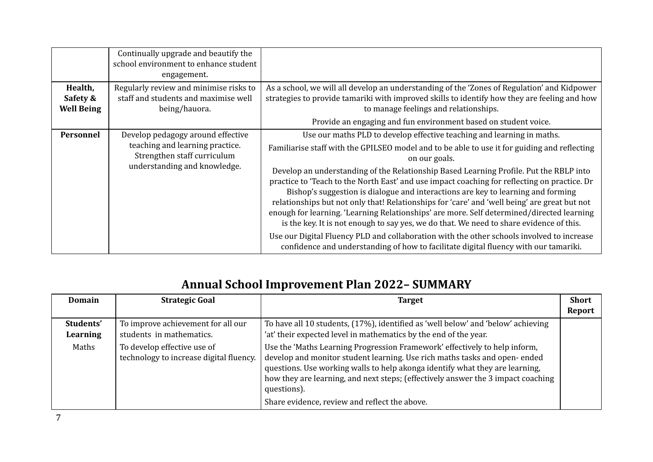| Health,                       | Continually upgrade and beautify the<br>school environment to enhance student<br>engagement.<br>Regularly review and minimise risks to | As a school, we will all develop an understanding of the 'Zones of Regulation' and Kidpower                                                                                                                                                                                                                                                                                                                                                                                                                                                                                                                                                                                                                                                                                                                                                                                                                                                        |
|-------------------------------|----------------------------------------------------------------------------------------------------------------------------------------|----------------------------------------------------------------------------------------------------------------------------------------------------------------------------------------------------------------------------------------------------------------------------------------------------------------------------------------------------------------------------------------------------------------------------------------------------------------------------------------------------------------------------------------------------------------------------------------------------------------------------------------------------------------------------------------------------------------------------------------------------------------------------------------------------------------------------------------------------------------------------------------------------------------------------------------------------|
| Safety &<br><b>Well Being</b> | staff and students and maximise well<br>being/hauora.                                                                                  | strategies to provide tamariki with improved skills to identify how they are feeling and how<br>to manage feelings and relationships.<br>Provide an engaging and fun environment based on student voice.                                                                                                                                                                                                                                                                                                                                                                                                                                                                                                                                                                                                                                                                                                                                           |
| <b>Personnel</b>              | Develop pedagogy around effective<br>teaching and learning practice.<br>Strengthen staff curriculum<br>understanding and knowledge.    | Use our maths PLD to develop effective teaching and learning in maths.<br>Familiarise staff with the GPILSEO model and to be able to use it for guiding and reflecting<br>on our goals.<br>Develop an understanding of the Relationship Based Learning Profile. Put the RBLP into<br>practice to 'Teach to the North East' and use impact coaching for reflecting on practice. Dr<br>Bishop's suggestion is dialogue and interactions are key to learning and forming<br>relationships but not only that! Relationships for 'care' and 'well being' are great but not<br>enough for learning. 'Learning Relationships' are more. Self determined/directed learning<br>is the key. It is not enough to say yes, we do that. We need to share evidence of this.<br>Use our Digital Fluency PLD and collaboration with the other schools involved to increase<br>confidence and understanding of how to facilitate digital fluency with our tamariki. |

# **Annual School Improvement Plan 2022– SUMMARY**

| Domain                | <b>Strategic Goal</b>                                                  | <b>Target</b>                                                                                                                                                                                                                                                                                                                                                                               | <b>Short</b><br>Report |
|-----------------------|------------------------------------------------------------------------|---------------------------------------------------------------------------------------------------------------------------------------------------------------------------------------------------------------------------------------------------------------------------------------------------------------------------------------------------------------------------------------------|------------------------|
| Students'<br>Learning | To improve achievement for all our<br>students in mathematics.         | To have all 10 students, (17%), identified as 'well below' and 'below' achieving<br>'at' their expected level in mathematics by the end of the year.                                                                                                                                                                                                                                        |                        |
| Maths                 | To develop effective use of<br>technology to increase digital fluency. | Use the 'Maths Learning Progression Framework' effectively to help inform,<br>develop and monitor student learning. Use rich maths tasks and open-ended<br>questions. Use working walls to help akonga identify what they are learning,<br>how they are learning, and next steps; (effectively answer the 3 impact coaching<br>questions).<br>Share evidence, review and reflect the above. |                        |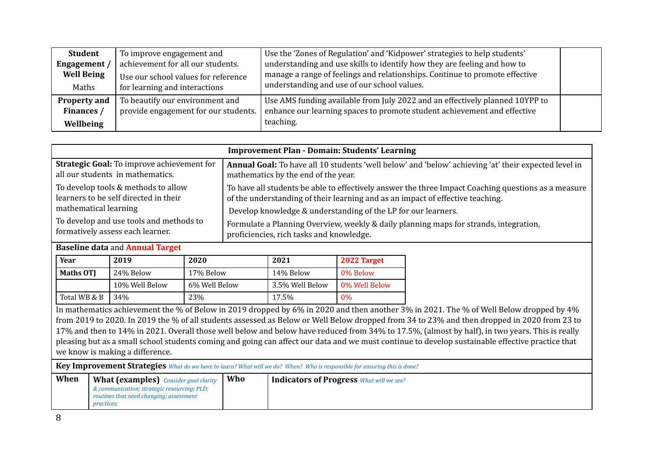| <b>Student</b>      | To improve engagement and            | Use the 'Zones of Regulation' and 'Kidpower' strategies to help students'    |  |
|---------------------|--------------------------------------|------------------------------------------------------------------------------|--|
| Engagement /        | achievement for all our students.    | understanding and use skills to identify how they are feeling and how to     |  |
| <b>Well Being</b>   | Use our school values for reference  | manage a range of feelings and relationships. Continue to promote effective  |  |
| Maths               | for learning and interactions        | understanding and use of our school values.                                  |  |
| <b>Property and</b> | To beautify our environment and      | Use AMS funding available from July 2022 and an effectively planned 10YPP to |  |
| Finances /          | provide engagement for our students. | enhance our learning spaces to promote student achievement and effective     |  |
| Wellbeing           |                                      | teaching.                                                                    |  |

| <b>Improvement Plan - Domain: Students' Learning</b> |                                                                                                      |  |  |  |  |
|------------------------------------------------------|------------------------------------------------------------------------------------------------------|--|--|--|--|
| Strategic Goal: To improve achievement for           | Annual Goal: To have all 10 students 'well below' and 'below' achieving 'at' their expected level in |  |  |  |  |
| all our students in mathematics.                     | mathematics by the end of the year.                                                                  |  |  |  |  |
| To develop tools & methods to allow                  | To have all students be able to effectively answer the three Impact Coaching questions as a measure  |  |  |  |  |
| learners to be self directed in their                | of the understanding of their learning and as an impact of effective teaching.                       |  |  |  |  |
| mathematical learning                                | Develop knowledge & understanding of the LP for our learners.                                        |  |  |  |  |
| To develop and use tools and methods to              | Formulate a Planning Overview, weekly & daily planning maps for strands, integration,                |  |  |  |  |
| formatively assess each learner.                     | proficiencies, rich tasks and knowledge.                                                             |  |  |  |  |

### **Baseline data** and **Annual Target**

| Year             | 2019           | 2020          | 2021            | 2022 Target   |
|------------------|----------------|---------------|-----------------|---------------|
| <b>Maths OTI</b> | 24% Below      | 17% Below     | 14% Below       | 0% Below      |
|                  | 10% Well Below | 6% Well Below | 3.5% Well Below | 0% Well Below |
| Total WB & B     | 34%            | 23%           | 17.5%           | $0\%$         |

In mathematics achievement the % of Below in 2019 dropped by 6% in 2020 and then another 3% in 2021. The % of Well Below dropped by 4% from 2019 to 2020. In 2019 the % of all students assessed as Below or Well Below dropped from 34 to 23% and then dropped in 2020 from 23 to 17% and then to 14% in 2021. Overall those well below and below have reduced from 34% to 17.5%, (almost by half), in two years. This is really pleasing but as a small school students coming and going can affect our data and we must continue to develop sustainable effective practice that we know is making a difference.

Key Improvement Strategies What do we have to learn? What will we do? When? Who is responsible for ensuring this is done?

| When | <b>What (examples)</b> Consider goal clarity | Who | <b>Indicators of Progress What will we see?</b> |
|------|----------------------------------------------|-----|-------------------------------------------------|
|      | & communication; strategic resourcing; PLD;  |     |                                                 |
|      | routines that need changing; assessment      |     |                                                 |
|      | <i>practices;</i>                            |     |                                                 |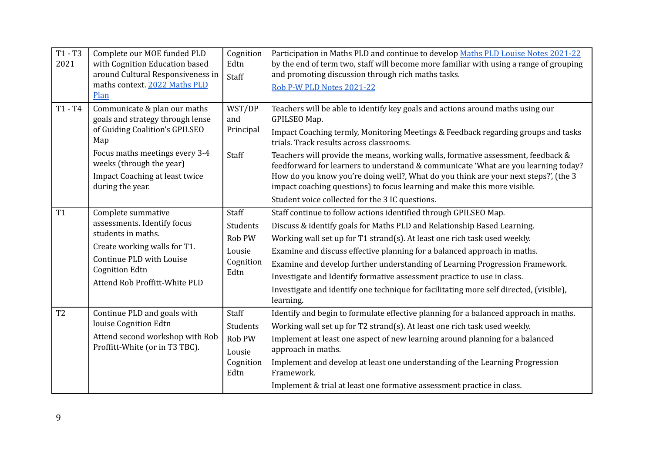| $T1 - T3$<br>2021 | Complete our MOE funded PLD<br>with Cognition Education based<br>around Cultural Responsiveness in<br>maths context. 2022 Maths PLD<br>Plan                                                                                          | Cognition<br>Edtn<br>Staff                                 | Participation in Maths PLD and continue to develop Maths PLD Louise Notes 2021-22<br>by the end of term two, staff will become more familiar with using a range of grouping<br>and promoting discussion through rich maths tasks.<br>Rob P-W PLD Notes 2021-22                                                                                                                                                                                                                                                                                                                                                                  |
|-------------------|--------------------------------------------------------------------------------------------------------------------------------------------------------------------------------------------------------------------------------------|------------------------------------------------------------|---------------------------------------------------------------------------------------------------------------------------------------------------------------------------------------------------------------------------------------------------------------------------------------------------------------------------------------------------------------------------------------------------------------------------------------------------------------------------------------------------------------------------------------------------------------------------------------------------------------------------------|
| $T1 - T4$         | Communicate & plan our maths<br>goals and strategy through lense<br>of Guiding Coalition's GPILSEO<br>Map<br>Focus maths meetings every 3-4<br>weeks (through the year)<br><b>Impact Coaching at least twice</b><br>during the year. | WST/DP<br>and<br>Principal<br>Staff                        | Teachers will be able to identify key goals and actions around maths using our<br>GPILSEO Map.<br>Impact Coaching termly, Monitoring Meetings & Feedback regarding groups and tasks<br>trials. Track results across classrooms.<br>Teachers will provide the means, working walls, formative assessment, feedback &<br>feedforward for learners to understand & communicate 'What are you learning today?<br>How do you know you're doing well?, What do you think are your next steps?', (the 3<br>impact coaching questions) to focus learning and make this more visible.<br>Student voice collected for the 3 IC questions. |
| T1                | Complete summative<br>assessments. Identify focus<br>students in maths.<br>Create working walls for T1.<br>Continue PLD with Louise<br><b>Cognition Edtn</b><br>Attend Rob Proffitt-White PLD                                        | Staff<br>Students<br>Rob PW<br>Lousie<br>Cognition<br>Edtn | Staff continue to follow actions identified through GPILSEO Map.<br>Discuss & identify goals for Maths PLD and Relationship Based Learning.<br>Working wall set up for T1 strand(s). At least one rich task used weekly.<br>Examine and discuss effective planning for a balanced approach in maths.<br>Examine and develop further understanding of Learning Progression Framework.<br>Investigate and Identify formative assessment practice to use in class.<br>Investigate and identify one technique for facilitating more self directed, (visible),<br>learning.                                                          |
| T <sub>2</sub>    | Continue PLD and goals with<br>louise Cognition Edtn<br>Attend second workshop with Rob<br>Proffitt-White (or in T3 TBC).                                                                                                            | Staff<br>Students<br>Rob PW<br>Lousie<br>Cognition<br>Edtn | Identify and begin to formulate effective planning for a balanced approach in maths.<br>Working wall set up for T2 strand(s). At least one rich task used weekly.<br>Implement at least one aspect of new learning around planning for a balanced<br>approach in maths.<br>Implement and develop at least one understanding of the Learning Progression<br>Framework.<br>Implement & trial at least one formative assessment practice in class.                                                                                                                                                                                 |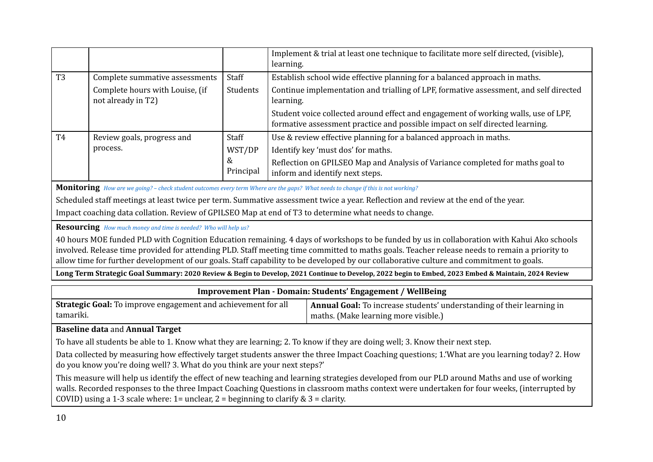|                |                                                       |                | Implement & trial at least one technique to facilitate more self directed, (visible),<br>learning.                                                                 |
|----------------|-------------------------------------------------------|----------------|--------------------------------------------------------------------------------------------------------------------------------------------------------------------|
| T <sub>3</sub> | Complete summative assessments                        | Staff          | Establish school wide effective planning for a balanced approach in maths.                                                                                         |
|                | Complete hours with Louise, (if<br>not already in T2) | Students       | Continue implementation and trialling of LPF, formative assessment, and self directed<br>learning.                                                                 |
|                |                                                       |                | Student voice collected around effect and engagement of working walls, use of LPF,<br>formative assessment practice and possible impact on self directed learning. |
| T <sub>4</sub> | Review goals, progress and                            | Staff          | Use & review effective planning for a balanced approach in maths.                                                                                                  |
|                | process.                                              | WST/DP         | Identify key 'must dos' for maths.                                                                                                                                 |
|                |                                                       | &<br>Principal | Reflection on GPILSEO Map and Analysis of Variance completed for maths goal to<br>inform and identify next steps.                                                  |

**Monitoring** How are we going? - check student outcomes every term Where are the gaps? What needs to change if this is not working?

Scheduled staff meetings at least twice per term. Summative assessment twice a year. Reflection and review at the end of the year.

Impact coaching data collation. Review of GPILSEO Map at end of T3 to determine what needs to change.

**Resourcing** *How much money and time is needed? Who will help us?*

40 hours MOE funded PLD with Cognition Education remaining. 4 days of workshops to be funded by us in collaboration with Kahui Ako schools involved. Release time provided for attending PLD. Staff meeting time committed to maths goals. Teacher release needs to remain a priority to allow time for further development of our goals. Staff capability to be developed by our collaborative culture and commitment to goals.

**Long Term Strategic Goal Summary: 2020 Review & Begin to Develop, 2021 Continue to Develop, 2022 begin to Embed, 2023 Embed & Maintain, 2024 Review**

| <b>Improvement Plan - Domain: Students' Engagement / WellBeing</b>                                                                                                                                                                                                                                                                                                                        |                                                                                                               |  |  |  |  |
|-------------------------------------------------------------------------------------------------------------------------------------------------------------------------------------------------------------------------------------------------------------------------------------------------------------------------------------------------------------------------------------------|---------------------------------------------------------------------------------------------------------------|--|--|--|--|
| Strategic Goal: To improve engagement and achievement for all<br>tamariki.                                                                                                                                                                                                                                                                                                                | Annual Goal: To increase students' understanding of their learning in<br>maths. (Make learning more visible.) |  |  |  |  |
| <b>Baseline data and Annual Target</b>                                                                                                                                                                                                                                                                                                                                                    |                                                                                                               |  |  |  |  |
| To have all students be able to 1. Know what they are learning; 2. To know if they are doing well; 3. Know their next step.                                                                                                                                                                                                                                                               |                                                                                                               |  |  |  |  |
| Data collected by measuring how effectively target students answer the three Impact Coaching questions; 1. What are you learning today? 2. How<br>do you know you're doing well? 3. What do you think are your next steps?'                                                                                                                                                               |                                                                                                               |  |  |  |  |
| This measure will help us identify the effect of new teaching and learning strategies developed from our PLD around Maths and use of working<br>walls. Recorded responses to the three Impact Coaching Questions in classroom maths context were undertaken for four weeks, (interrupted by<br>COVID) using a 1-3 scale where: $1 =$ unclear, $2 =$ beginning to clarify & $3 =$ clarity. |                                                                                                               |  |  |  |  |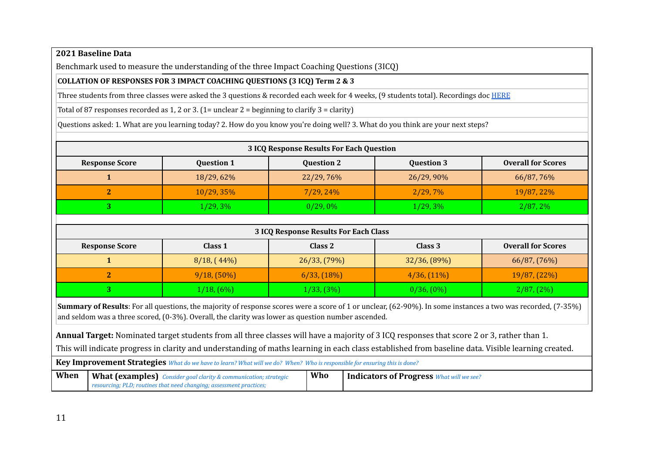### **2021 Baseline Data**

Benchmark used to measure the understanding of the three Impact Coaching Questions (3ICQ)

#### **COLLATION OF RESPONSES FOR 3 IMPACT COACHING QUESTIONS (3 ICQ) Term 2 & 3**

Three students from three classes were asked the 3 questions & recorded each week for 4 weeks, (9 students total). Recordings doc [HERE](https://docs.google.com/document/d/1yvU1whsFd4g6I7eFFKDG2wd_hQ6mNWSBZ5H_LCtG4GQ/edit?usp=sharing)

Total of 87 responses recorded as 1, 2 or 3. (1= unclear  $2$  = beginning to clarify  $3$  = clarity)

Questions asked: 1. What are you learning today? 2. How do you know you're doing well? 3. What do you think are your next steps?

| <b>3 ICQ Response Results For Each Question</b> |                   |                   |                   |                           |  |
|-------------------------------------------------|-------------------|-------------------|-------------------|---------------------------|--|
| <b>Response Score</b>                           | <b>Question 1</b> | <b>Question 2</b> | <b>Question 3</b> | <b>Overall for Scores</b> |  |
|                                                 | 18/29, 62%        | 22/29,76%         | 26/29, 90%        | 66/87,76%                 |  |
|                                                 | $10/29, 35\%$     | $7/29, 24\%$      | 2/29,7%           | 19/87, 22%                |  |
|                                                 | 1/29,3%           | 0/29,0%           | 1/29,3%           | $2/87, 2\%$               |  |
|                                                 |                   |                   |                   |                           |  |

| <b>3 ICQ Response Results For Each Class</b> |                 |                |                 |                           |  |  |  |
|----------------------------------------------|-----------------|----------------|-----------------|---------------------------|--|--|--|
| <b>Response Score</b>                        | Class 1         | Class 2        | Class 3         | <b>Overall for Scores</b> |  |  |  |
|                                              | 8/18, (44%)     | 26/33, (79%)   | $32/36, (89\%)$ | 66/87, (76%)              |  |  |  |
|                                              | $9/18, (50\%)$  | $6/33, (18\%)$ | $4/36, (11\%)$  | 19/87, (22%)              |  |  |  |
|                                              | $1/18$ , $(6%)$ | 1/33, (3%)     | $0/36, (0\%)$   | 2/87, (2%)                |  |  |  |

**Summary of Results**: For all questions, the majority of response scores were a score of 1 or unclear, (62-90%). In some instances a two was recorded, (7-35%) and seldom was a three scored, (0-3%). Overall, the clarity was lower as question number ascended.

**Annual Target:** Nominated target students from all three classes will have a majority of 3 ICQ responses that score 2 or 3, rather than 1.

This will indicate progress in clarity and understanding of maths learning in each class established from baseline data. Visible learning created.

| <b>Key Improvement Strategies</b> What do we have to learn? What will we do? When? Who is responsible for ensuring this is done? |                                                                                                                                         |     |                                                 |  |
|----------------------------------------------------------------------------------------------------------------------------------|-----------------------------------------------------------------------------------------------------------------------------------------|-----|-------------------------------------------------|--|
| When                                                                                                                             | What (examples) Consider goal clarity & communication; strategic<br>resourcing; PLD; routines that need changing; assessment practices; | Who | <b>Indicators of Progress What will we see?</b> |  |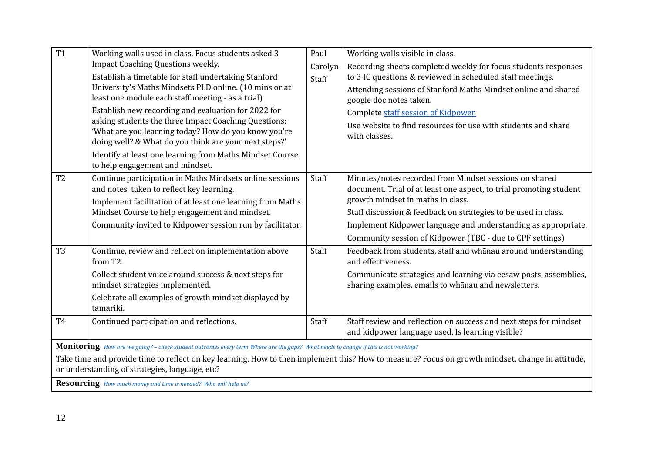| $\overline{T1}$                                                                                                                                 | Working walls used in class. Focus students asked 3                                                                               | Paul    | Working walls visible in class.                                                                                         |  |  |  |
|-------------------------------------------------------------------------------------------------------------------------------------------------|-----------------------------------------------------------------------------------------------------------------------------------|---------|-------------------------------------------------------------------------------------------------------------------------|--|--|--|
|                                                                                                                                                 | <b>Impact Coaching Questions weekly.</b>                                                                                          | Carolyn | Recording sheets completed weekly for focus students responses                                                          |  |  |  |
|                                                                                                                                                 | Establish a timetable for staff undertaking Stanford                                                                              | Staff   | to 3 IC questions & reviewed in scheduled staff meetings.                                                               |  |  |  |
|                                                                                                                                                 | University's Maths Mindsets PLD online. (10 mins or at                                                                            |         | Attending sessions of Stanford Maths Mindset online and shared                                                          |  |  |  |
|                                                                                                                                                 | least one module each staff meeting - as a trial)                                                                                 |         | google doc notes taken.                                                                                                 |  |  |  |
|                                                                                                                                                 | Establish new recording and evaluation for 2022 for                                                                               |         | Complete staff session of Kidpower.                                                                                     |  |  |  |
|                                                                                                                                                 | asking students the three Impact Coaching Questions;<br>'What are you learning today? How do you know you're                      |         | Use website to find resources for use with students and share                                                           |  |  |  |
|                                                                                                                                                 | doing well? & What do you think are your next steps?'                                                                             |         | with classes.                                                                                                           |  |  |  |
|                                                                                                                                                 | Identify at least one learning from Maths Mindset Course                                                                          |         |                                                                                                                         |  |  |  |
|                                                                                                                                                 | to help engagement and mindset.                                                                                                   |         |                                                                                                                         |  |  |  |
| T <sub>2</sub>                                                                                                                                  | Continue participation in Maths Mindsets online sessions                                                                          | Staff   | Minutes/notes recorded from Mindset sessions on shared                                                                  |  |  |  |
|                                                                                                                                                 | and notes taken to reflect key learning.                                                                                          |         | document. Trial of at least one aspect, to trial promoting student                                                      |  |  |  |
|                                                                                                                                                 | Implement facilitation of at least one learning from Maths                                                                        |         | growth mindset in maths in class.                                                                                       |  |  |  |
|                                                                                                                                                 | Mindset Course to help engagement and mindset.                                                                                    |         | Staff discussion & feedback on strategies to be used in class.                                                          |  |  |  |
|                                                                                                                                                 | Community invited to Kidpower session run by facilitator.                                                                         |         | Implement Kidpower language and understanding as appropriate.                                                           |  |  |  |
|                                                                                                                                                 |                                                                                                                                   |         | Community session of Kidpower (TBC - due to CPF settings)                                                               |  |  |  |
| T <sub>3</sub>                                                                                                                                  | Continue, review and reflect on implementation above<br>from T2.                                                                  | Staff   | Feedback from students, staff and whanau around understanding<br>and effectiveness.                                     |  |  |  |
|                                                                                                                                                 | Collect student voice around success & next steps for<br>mindset strategies implemented.                                          |         | Communicate strategies and learning via eesaw posts, assemblies,<br>sharing examples, emails to whanau and newsletters. |  |  |  |
|                                                                                                                                                 | Celebrate all examples of growth mindset displayed by<br>tamariki.                                                                |         |                                                                                                                         |  |  |  |
| T <sub>4</sub>                                                                                                                                  | Continued participation and reflections.                                                                                          | Staff   | Staff review and reflection on success and next steps for mindset<br>and kidpower language used. Is learning visible?   |  |  |  |
|                                                                                                                                                 | Monitoring How are we going? - check student outcomes every term Where are the gaps? What needs to change if this is not working? |         |                                                                                                                         |  |  |  |
| Take time and provide time to reflect on key learning. How to then implement this? How to measure? Focus on growth mindset, change in attitude, |                                                                                                                                   |         |                                                                                                                         |  |  |  |
|                                                                                                                                                 | or understanding of strategies, language, etc?                                                                                    |         |                                                                                                                         |  |  |  |
|                                                                                                                                                 | Resourcing How much money and time is needed? Who will help us?                                                                   |         |                                                                                                                         |  |  |  |